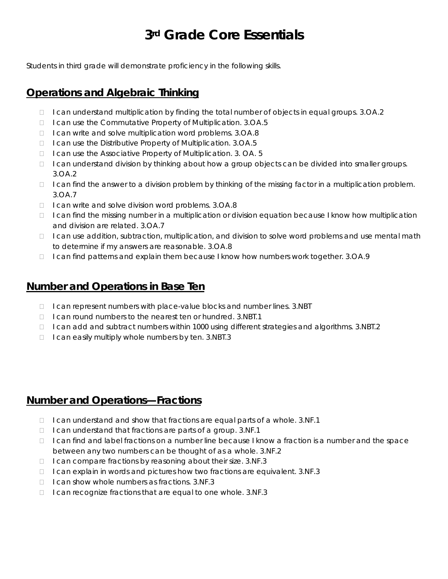# **3rd Grade Core Essentials**

Students in third grade will demonstrate proficiency in the following skills.

## **Operations and Algebraic Thinking**

- □ I can understand multiplication by finding the total number of objects in equal groups. 3.OA.2
- □ I can use the Commutative Property of Multiplication. 3.OA.5
- □ I can write and solve multiplication word problems. 3.OA.8
- □ I can use the Distributive Property of Multiplication. 3.OA.5
- □ I can use the Associative Property of Multiplication. 3. OA. 5
- □ I can understand division by thinking about how a group objects can be divided into smaller groups. 3.OA.2
- $\Box$  I can find the answer to a division problem by thinking of the missing factor in a multiplication problem. 3.OA.7
- □ I can write and solve division word problems. 3.OA.8
- $\Box$  I can find the missing number in a multiplication or division equation because I know how multiplication and division are related. 3.OA.7
- $\Box$  I can use addition, subtraction, multiplication, and division to solve word problems and use mental math to determine if my answers are reasonable. 3.OA.8
- □ I can find patterns and explain them because I know how numbers work together. 3.OA.9

## **Number and Operations in Base Ten**

- □ I can represent numbers with place-value blocks and number lines. 3.NBT
- $\Box$  I can round numbers to the nearest ten or hundred. 3.NBT.1
- $\Box$  I can add and subtract numbers within 1000 using different strategies and algorithms. 3.NBT.2
- $\Box$  I can easily multiply whole numbers by ten. 3.NBT.3

#### **Number and Operations—Fractions**

- $\Box$  I can understand and show that fractions are equal parts of a whole. 3.NF.1
- $\Box$  I can understand that fractions are parts of a group. 3.NF.1
- $\Box$  I can find and label fractions on a number line because I know a fraction is a number and the space between any two numbers can be thought of as a whole. 3.NF.2
- $\Box$  I can compare fractions by reasoning about their size. 3.NF.3
- $\Box$  I can explain in words and pictures how two fractions are equivalent. 3.NF.3
- $\Box$  I can show whole numbers as fractions. 3.NF.3
- $\Box$  I can recognize fractions that are equal to one whole. 3.NF.3